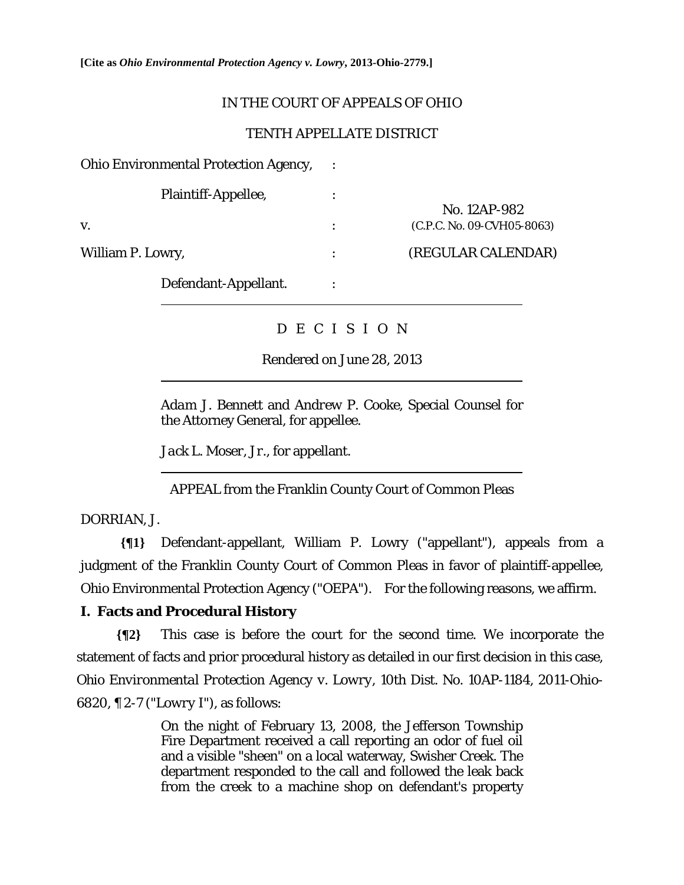**[Cite as** *Ohio Environmental Protection Agency v. Lowry***, 2013-Ohio-2779.]**

# IN THE COURT OF APPEALS OF OHIO

#### TENTH APPELLATE DISTRICT

| <b>Ohio Environmental Protection Agency,</b> |                |                            |
|----------------------------------------------|----------------|----------------------------|
| Plaintiff-Appellee,                          |                | No. 12AP-982               |
| V.                                           | $\ddot{\cdot}$ | (C.P.C. No. 09-CVH05-8063) |
| William P. Lowry,                            | $\ddot{\cdot}$ | (REGULAR CALENDAR)         |
| Defendant-Appellant.                         |                |                            |

# D E C I S I O N

#### Rendered on June 28, 2013

*Adam J. Bennett* and *Andrew P. Cooke*, Special Counsel for the Attorney General, for appellee.

*Jack L. Moser, Jr.*, for appellant.

APPEAL from the Franklin County Court of Common Pleas

DORRIAN, J.

 $\overline{a}$ 

 $\overline{a}$ 

**{¶1}** Defendant-appellant, William P. Lowry ("appellant"), appeals from a judgment of the Franklin County Court of Common Pleas in favor of plaintiff-appellee, Ohio Environmental Protection Agency ("OEPA"). For the following reasons, we affirm.

### **I. Facts and Procedural History**

**{¶2}** This case is before the court for the second time. We incorporate the statement of facts and prior procedural history as detailed in our first decision in this case, *Ohio Environmental Protection Agency v. Lowry*, 10th Dist. No. 10AP-1184, 2011-Ohio-6820, ¶ 2-7 ("*Lowry I*"), as follows:

> On the night of February 13, 2008, the Jefferson Township Fire Department received a call reporting an odor of fuel oil and a visible "sheen" on a local waterway, Swisher Creek. The department responded to the call and followed the leak back from the creek to a machine shop on defendant's property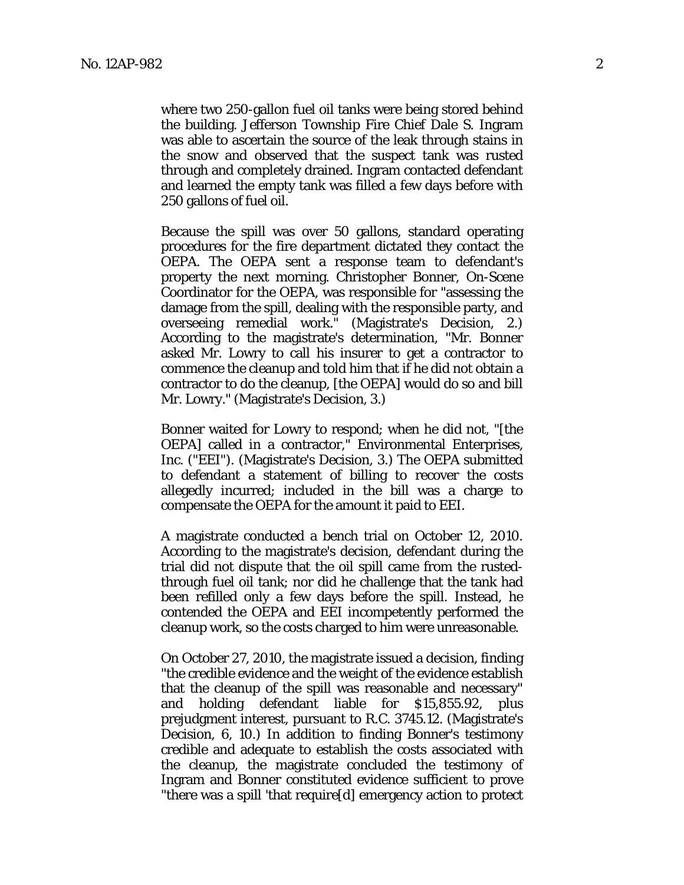where two 250-gallon fuel oil tanks were being stored behind the building. Jefferson Township Fire Chief Dale S. Ingram was able to ascertain the source of the leak through stains in the snow and observed that the suspect tank was rusted through and completely drained. Ingram contacted defendant and learned the empty tank was filled a few days before with 250 gallons of fuel oil.

Because the spill was over 50 gallons, standard operating procedures for the fire department dictated they contact the OEPA. The OEPA sent a response team to defendant's property the next morning. Christopher Bonner, On-Scene Coordinator for the OEPA, was responsible for "assessing the damage from the spill, dealing with the responsible party, and overseeing remedial work." (Magistrate's Decision, 2.) According to the magistrate's determination, "Mr. Bonner asked Mr. Lowry to call his insurer to get a contractor to commence the cleanup and told him that if he did not obtain a contractor to do the cleanup, [the OEPA] would do so and bill Mr. Lowry." (Magistrate's Decision, 3.)

Bonner waited for Lowry to respond; when he did not, "[the OEPA] called in a contractor," Environmental Enterprises, Inc. ("EEI"). (Magistrate's Decision, 3.) The OEPA submitted to defendant a statement of billing to recover the costs allegedly incurred; included in the bill was a charge to compensate the OEPA for the amount it paid to EEI.

A magistrate conducted a bench trial on October 12, 2010. According to the magistrate's decision, defendant during the trial did not dispute that the oil spill came from the rustedthrough fuel oil tank; nor did he challenge that the tank had been refilled only a few days before the spill. Instead, he contended the OEPA and EEI incompetently performed the cleanup work, so the costs charged to him were unreasonable.

On October 27, 2010, the magistrate issued a decision, finding "the credible evidence and the weight of the evidence establish that the cleanup of the spill was reasonable and necessary" and holding defendant liable for \$15,855.92, plus prejudgment interest, pursuant to R.C. 3745.12. (Magistrate's Decision, 6, 10.) In addition to finding Bonner's testimony credible and adequate to establish the costs associated with the cleanup, the magistrate concluded the testimony of Ingram and Bonner constituted evidence sufficient to prove "there was a spill 'that require[d] emergency action to protect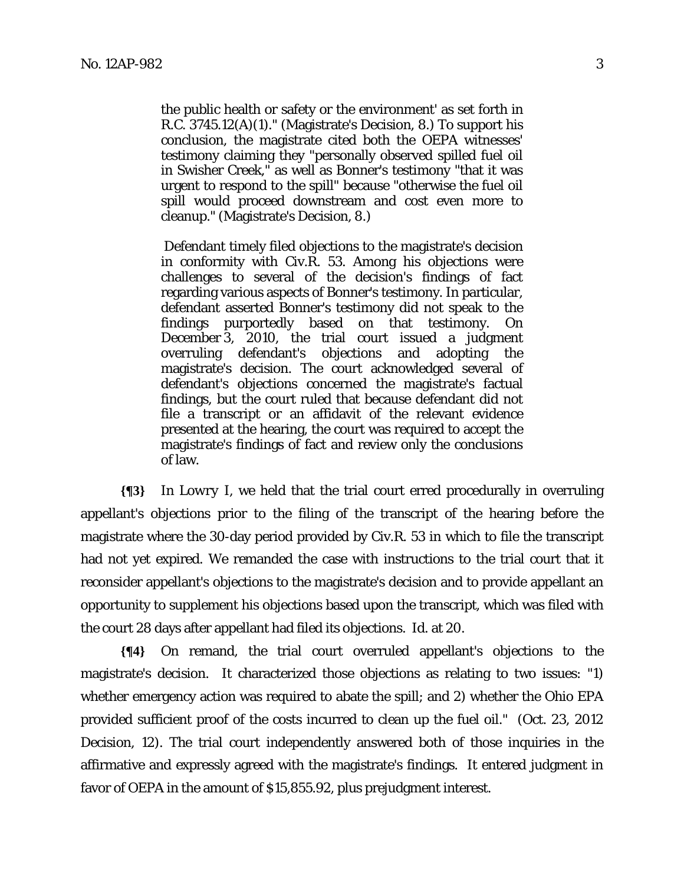the public health or safety or the environment' as set forth in R.C. 3745.12(A)(1)." (Magistrate's Decision, 8.) To support his conclusion, the magistrate cited both the OEPA witnesses' testimony claiming they "personally observed spilled fuel oil in Swisher Creek," as well as Bonner's testimony "that it was urgent to respond to the spill" because "otherwise the fuel oil spill would proceed downstream and cost even more to cleanup." (Magistrate's Decision, 8.)

 Defendant timely filed objections to the magistrate's decision in conformity with Civ.R. 53. Among his objections were challenges to several of the decision's findings of fact regarding various aspects of Bonner's testimony. In particular, defendant asserted Bonner's testimony did not speak to the findings purportedly based on that testimony. On December 3, 2010, the trial court issued a judgment overruling defendant's objections and adopting the magistrate's decision. The court acknowledged several of defendant's objections concerned the magistrate's factual findings, but the court ruled that because defendant did not file a transcript or an affidavit of the relevant evidence presented at the hearing, the court was required to accept the magistrate's findings of fact and review only the conclusions of law.

**{¶3}** In *Lowry I*, we held that the trial court erred procedurally in overruling appellant's objections prior to the filing of the transcript of the hearing before the magistrate where the 30-day period provided by Civ.R. 53 in which to file the transcript had not yet expired. We remanded the case with instructions to the trial court that it reconsider appellant's objections to the magistrate's decision and to provide appellant an opportunity to supplement his objections based upon the transcript, which was filed with the court 28 days after appellant had filed its objections. *Id.* at 20.

**{¶4}** On remand, the trial court overruled appellant's objections to the magistrate's decision. It characterized those objections as relating to two issues: "1) whether emergency action was required to abate the spill; and 2) whether the Ohio EPA provided sufficient proof of the costs incurred to clean up the fuel oil." (Oct. 23, 2012 Decision, 12). The trial court independently answered both of those inquiries in the affirmative and expressly agreed with the magistrate's findings. It entered judgment in favor of OEPA in the amount of \$15,855.92, plus prejudgment interest.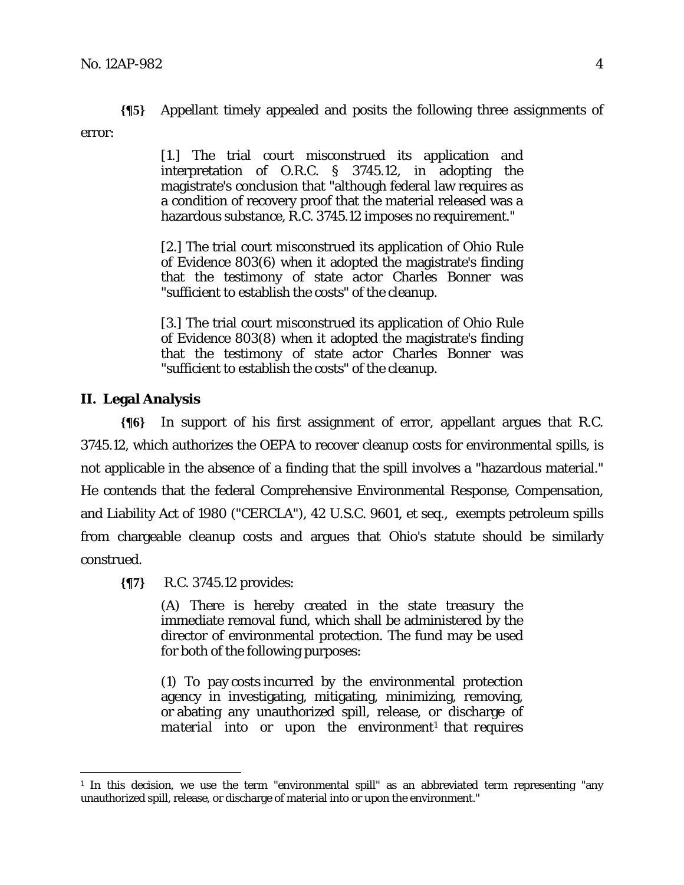**{¶5}** Appellant timely appealed and posits the following three assignments of error:

> [1.] The trial court misconstrued its application and interpretation of O.R.C. § 3745.12, in adopting the magistrate's conclusion that "although federal law requires as a condition of recovery proof that the material released was a hazardous substance, R.C. 3745.12 imposes no requirement."

> [2.] The trial court misconstrued its application of Ohio Rule of Evidence 803(6) when it adopted the magistrate's finding that the testimony of state actor Charles Bonner was "sufficient to establish the costs" of the cleanup.

> [3.] The trial court misconstrued its application of Ohio Rule of Evidence 803(8) when it adopted the magistrate's finding that the testimony of state actor Charles Bonner was "sufficient to establish the costs" of the cleanup.

# **II. Legal Analysis**

<u>.</u>

**{¶6}** In support of his first assignment of error, appellant argues that R.C. 3745.12, which authorizes the OEPA to recover cleanup costs for environmental spills, is not applicable in the absence of a finding that the spill involves a "hazardous material." He contends that the federal Comprehensive Environmental Response, Compensation, and Liability Act of 1980 ("CERCLA"), 42 U.S.C. 9601, et seq., exempts petroleum spills from chargeable cleanup costs and argues that Ohio's statute should be similarly construed.

**{¶7}** R.C. 3745.12 provides:

(A) There is hereby created in the state treasury the immediate removal fund, which shall be administered by the director of environmental protection. The fund may be used for both of the following purposes:

(1) To pay costs incurred by the environmental protection agency in investigating, mitigating, minimizing, removing, or abating any unauthorized spill, release, or discharge of *material* into or upon the environment<sup>1</sup> *that requires* 

<sup>&</sup>lt;sup>1</sup> In this decision, we use the term "environmental spill" as an abbreviated term representing "any unauthorized spill, release, or discharge of material into or upon the environment."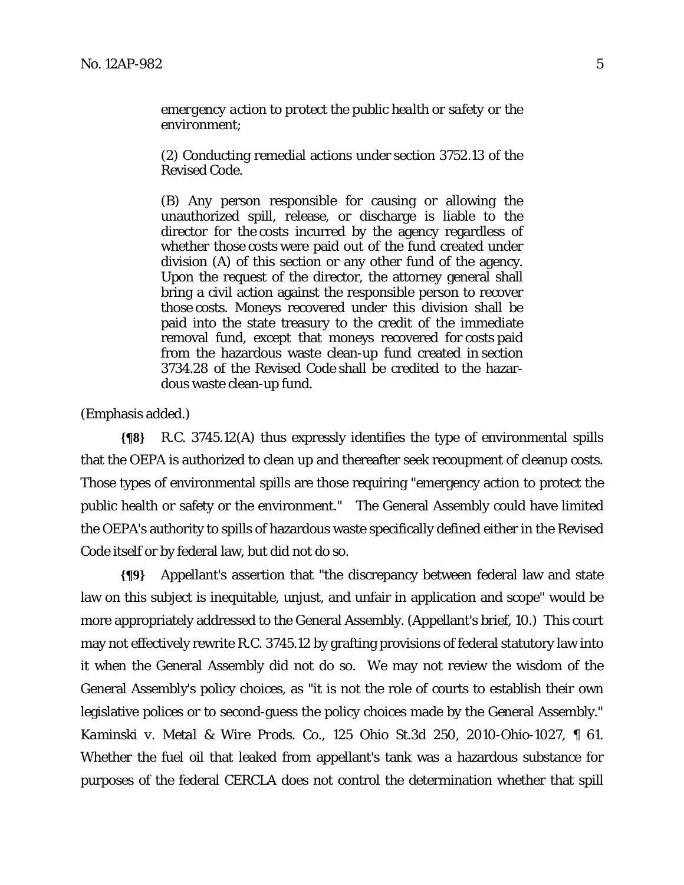*emergency action to protect the public health or safety or the environment*;

(2) Conducting remedial actions under section 3752.13 of the Revised Code.

(B) Any person responsible for causing or allowing the unauthorized spill, release, or discharge is liable to the director for the costs incurred by the agency regardless of whether those costs were paid out of the fund created under division (A) of this section or any other fund of the agency. Upon the request of the director, the attorney general shall bring a civil action against the responsible person to recover those costs. Moneys recovered under this division shall be paid into the state treasury to the credit of the immediate removal fund, except that moneys recovered for costs paid from the hazardous waste clean-up fund created in section 3734.28 of the Revised Code shall be credited to the hazardous waste clean-up fund.

(Emphasis added.)

**{¶8}** R.C. 3745.12(A) thus expressly identifies the type of environmental spills that the OEPA is authorized to clean up and thereafter seek recoupment of cleanup costs. Those types of environmental spills are those requiring "emergency action to protect the public health or safety or the environment." The General Assembly could have limited the OEPA's authority to spills of hazardous waste specifically defined either in the Revised Code itself or by federal law, but did not do so.

**{¶9}** Appellant's assertion that "the discrepancy between federal law and state law on this subject is inequitable, unjust, and unfair in application and scope" would be more appropriately addressed to the General Assembly. (Appellant's brief, 10.) This court may not effectively rewrite R.C. 3745.12 by grafting provisions of federal statutory law into it when the General Assembly did not do so. We may not review the wisdom of the General Assembly's policy choices, as "it is not the role of courts to establish their own legislative polices or to second-guess the policy choices made by the General Assembly." *Kaminski v. Metal & Wire Prods. Co.*, 125 Ohio St.3d 250, 2010-Ohio-1027, ¶ 61. Whether the fuel oil that leaked from appellant's tank was a hazardous substance for purposes of the federal CERCLA does not control the determination whether that spill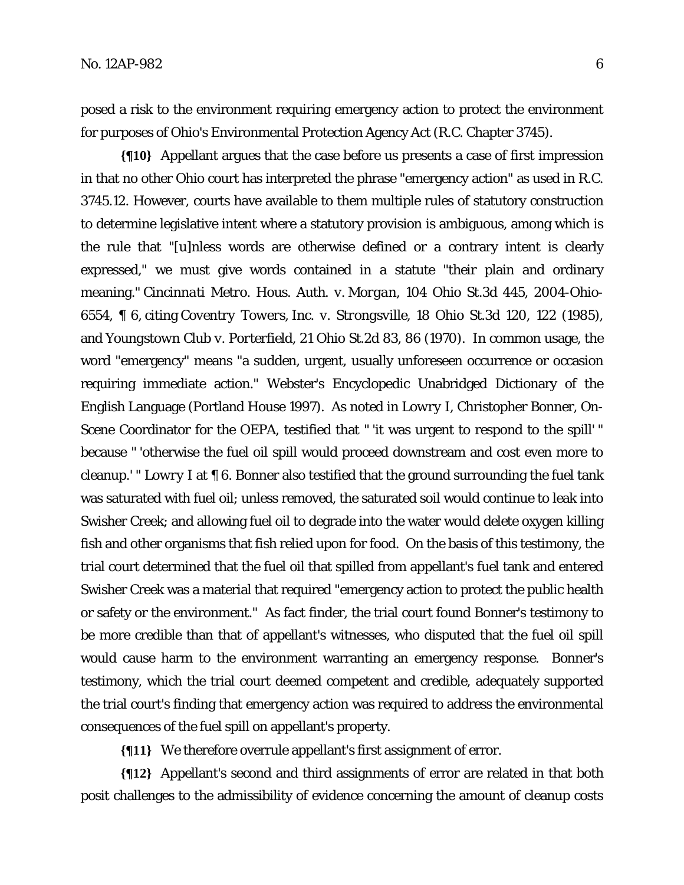posed a risk to the environment requiring emergency action to protect the environment for purposes of Ohio's Environmental Protection Agency Act (R.C. Chapter 3745).

**{¶10}** Appellant argues that the case before us presents a case of first impression in that no other Ohio court has interpreted the phrase "emergency action" as used in R.C. 3745.12. However, courts have available to them multiple rules of statutory construction to determine legislative intent where a statutory provision is ambiguous, among which is the rule that "[u]nless words are otherwise defined or a contrary intent is clearly expressed," we must give words contained in a statute "their plain and ordinary meaning." *Cincinnati Metro. Hous. Auth. v. Morgan*, 104 Ohio St.3d 445, 2004-Ohio-6554, ¶ 6, citing *Coventry Towers, Inc. v. Strongsville*, 18 Ohio St.3d 120, 122 (1985), and *Youngstown Club v. Porterfield*, 21 Ohio St.2d 83, 86 (1970). In common usage, the word "emergency" means "a sudden, urgent, usually unforeseen occurrence or occasion requiring immediate action." Webster's Encyclopedic Unabridged Dictionary of the English Language (Portland House 1997). As noted in *Lowry I,* Christopher Bonner, On-Scene Coordinator for the OEPA, testified that " 'it was urgent to respond to the spill' " because " 'otherwise the fuel oil spill would proceed downstream and cost even more to cleanup.' " *Lowry I* at ¶ 6. Bonner also testified that the ground surrounding the fuel tank was saturated with fuel oil; unless removed, the saturated soil would continue to leak into Swisher Creek; and allowing fuel oil to degrade into the water would delete oxygen killing fish and other organisms that fish relied upon for food. On the basis of this testimony, the trial court determined that the fuel oil that spilled from appellant's fuel tank and entered Swisher Creek was a material that required "emergency action to protect the public health or safety or the environment." As fact finder, the trial court found Bonner's testimony to be more credible than that of appellant's witnesses, who disputed that the fuel oil spill would cause harm to the environment warranting an emergency response. Bonner's testimony, which the trial court deemed competent and credible, adequately supported the trial court's finding that emergency action was required to address the environmental consequences of the fuel spill on appellant's property.

**{¶11}** We therefore overrule appellant's first assignment of error.

**{¶12}** Appellant's second and third assignments of error are related in that both posit challenges to the admissibility of evidence concerning the amount of cleanup costs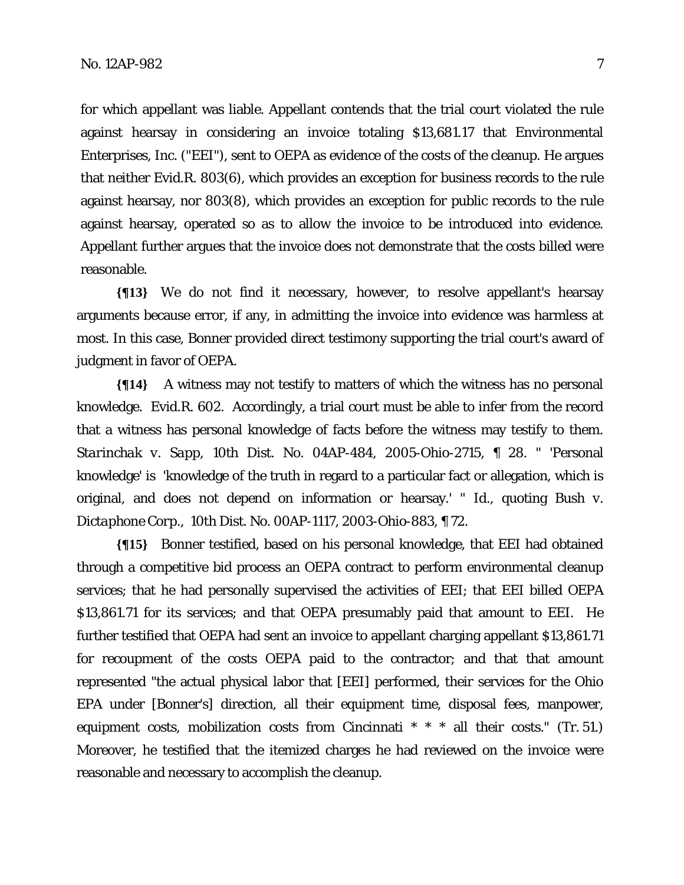for which appellant was liable. Appellant contends that the trial court violated the rule against hearsay in considering an invoice totaling \$13,681.17 that Environmental Enterprises, Inc. ("EEI"), sent to OEPA as evidence of the costs of the cleanup. He argues that neither Evid.R. 803(6), which provides an exception for business records to the rule against hearsay, nor 803(8), which provides an exception for public records to the rule against hearsay, operated so as to allow the invoice to be introduced into evidence. Appellant further argues that the invoice does not demonstrate that the costs billed were reasonable.

**{¶13}** We do not find it necessary, however, to resolve appellant's hearsay arguments because error, if any, in admitting the invoice into evidence was harmless at most. In this case, Bonner provided direct testimony supporting the trial court's award of judgment in favor of OEPA.

**{¶14}** A witness may not testify to matters of which the witness has no personal knowledge. Evid.R. 602. Accordingly, a trial court must be able to infer from the record that a witness has personal knowledge of facts before the witness may testify to them. *Starinchak v. Sapp*, 10th Dist. No. 04AP-484, 2005-Ohio-2715, ¶ 28. " 'Personal knowledge' is 'knowledge of the truth in regard to a particular fact or allegation, which is original, and does not depend on information or hearsay.' " *Id*., quoting *Bush v. Dictaphone Corp.*, 10th Dist. No. 00AP-1117, 2003-Ohio-883, ¶ 72.

**{¶15}** Bonner testified, based on his personal knowledge, that EEI had obtained through a competitive bid process an OEPA contract to perform environmental cleanup services; that he had personally supervised the activities of EEI; that EEI billed OEPA \$13,861.71 for its services; and that OEPA presumably paid that amount to EEI. He further testified that OEPA had sent an invoice to appellant charging appellant \$13,861.71 for recoupment of the costs OEPA paid to the contractor; and that that amount represented "the actual physical labor that [EEI] performed, their services for the Ohio EPA under [Bonner's] direction, all their equipment time, disposal fees, manpower, equipment costs, mobilization costs from Cincinnati  $* * *$  all their costs." (Tr. 51.) Moreover, he testified that the itemized charges he had reviewed on the invoice were reasonable and necessary to accomplish the cleanup.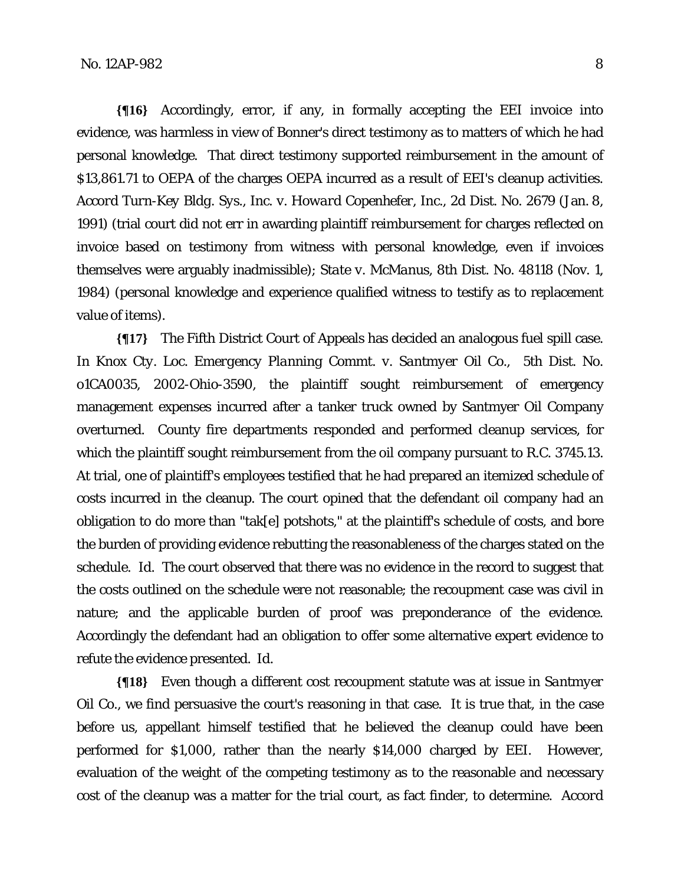**{¶16}** Accordingly, error, if any, in formally accepting the EEI invoice into evidence, was harmless in view of Bonner's direct testimony as to matters of which he had personal knowledge. That direct testimony supported reimbursement in the amount of \$13,861.71 to OEPA of the charges OEPA incurred as a result of EEI's cleanup activities. *Accord Turn-Key Bldg. Sys.*, *Inc. v. Howard Copenhefer, Inc.*, 2d Dist. No. 2679 (Jan. 8, 1991) (trial court did not err in awarding plaintiff reimbursement for charges reflected on invoice based on testimony from witness with personal knowledge, even if invoices themselves were arguably inadmissible); *State v. McManus*, 8th Dist. No. 48118 (Nov. 1, 1984) (personal knowledge and experience qualified witness to testify as to replacement value of items).

**{¶17}** The Fifth District Court of Appeals has decided an analogous fuel spill case. In *Knox Cty. Loc. Emergency Planning Commt. v. Santmyer Oil Co.,* 5th Dist. No. o1CA0035, 2002-Ohio-3590, the plaintiff sought reimbursement of emergency management expenses incurred after a tanker truck owned by Santmyer Oil Company overturned. County fire departments responded and performed cleanup services, for which the plaintiff sought reimbursement from the oil company pursuant to R.C. 3745.13. At trial, one of plaintiff's employees testified that he had prepared an itemized schedule of costs incurred in the cleanup. The court opined that the defendant oil company had an obligation to do more than "tak[e] potshots," at the plaintiff's schedule of costs, and bore the burden of providing evidence rebutting the reasonableness of the charges stated on the schedule. *Id.* The court observed that there was no evidence in the record to suggest that the costs outlined on the schedule were not reasonable; the recoupment case was civil in nature; and the applicable burden of proof was preponderance of the evidence. Accordingly the defendant had an obligation to offer some alternative expert evidence to refute the evidence presented. *Id*.

**{¶18}** Even though a different cost recoupment statute was at issue in *Santmyer Oil Co.,* we find persuasive the court's reasoning in that case. It is true that, in the case before us, appellant himself testified that he believed the cleanup could have been performed for \$1,000, rather than the nearly \$14,000 charged by EEI. However, evaluation of the weight of the competing testimony as to the reasonable and necessary cost of the cleanup was a matter for the trial court, as fact finder, to determine. *Accord*